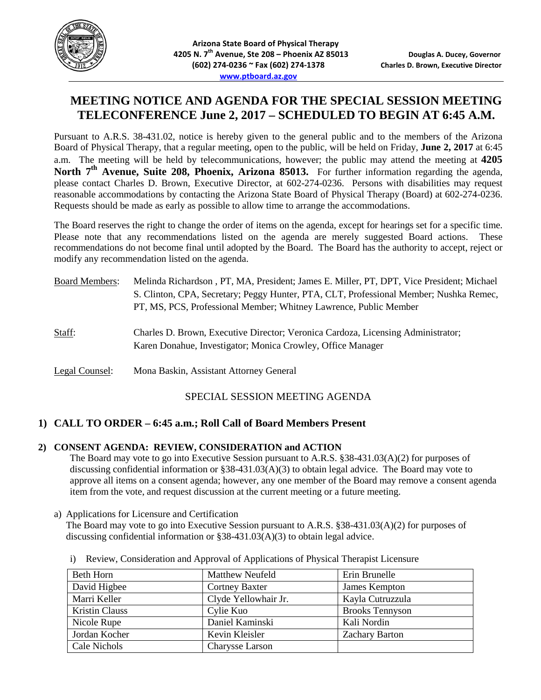

# **MEETING NOTICE AND AGENDA FOR THE SPECIAL SESSION MEETING TELECONFERENCE June 2, 2017 – SCHEDULED TO BEGIN AT 6:45 A.M.**

Pursuant to A.R.S. 38-431.02, notice is hereby given to the general public and to the members of the Arizona Board of Physical Therapy, that a regular meeting, open to the public, will be held on Friday, **June 2, 2017** at 6:45 a.m. The meeting will be held by telecommunications, however; the public may attend the meeting at **4205**  North 7<sup>th</sup> **Avenue, Suite 208, Phoenix, Arizona 85013.** For further information regarding the agenda, please contact Charles D. Brown, Executive Director, at 602-274-0236. Persons with disabilities may request reasonable accommodations by contacting the Arizona State Board of Physical Therapy (Board) at 602-274-0236. Requests should be made as early as possible to allow time to arrange the accommodations.

The Board reserves the right to change the order of items on the agenda, except for hearings set for a specific time. Please note that any recommendations listed on the agenda are merely suggested Board actions. These recommendations do not become final until adopted by the Board. The Board has the authority to accept, reject or modify any recommendation listed on the agenda.

| <b>Board Members:</b> | Melinda Richardson, PT, MA, President; James E. Miller, PT, DPT, Vice President; Michael<br>S. Clinton, CPA, Secretary; Peggy Hunter, PTA, CLT, Professional Member; Nushka Remec,<br>PT, MS, PCS, Professional Member; Whitney Lawrence, Public Member |
|-----------------------|---------------------------------------------------------------------------------------------------------------------------------------------------------------------------------------------------------------------------------------------------------|
| Staff:                | Charles D. Brown, Executive Director; Veronica Cardoza, Licensing Administrator;<br>Karen Donahue, Investigator; Monica Crowley, Office Manager                                                                                                         |
| Legal Counsel:        | Mona Baskin, Assistant Attorney General                                                                                                                                                                                                                 |

## SPECIAL SESSION MEETING AGENDA

## **1) CALL TO ORDER – 6:45 a.m.; Roll Call of Board Members Present**

#### **2) CONSENT AGENDA: REVIEW, CONSIDERATION and ACTION**

The Board may vote to go into Executive Session pursuant to A.R.S. §38-431.03(A)(2) for purposes of discussing confidential information or §38-431.03(A)(3) to obtain legal advice. The Board may vote to approve all items on a consent agenda; however, any one member of the Board may remove a consent agenda item from the vote, and request discussion at the current meeting or a future meeting.

a) Applications for Licensure and Certification

The Board may vote to go into Executive Session pursuant to A.R.S. §38-431.03(A)(2) for purposes of discussing confidential information or  $838-431.03(A)(3)$  to obtain legal advice.

| Beth Horn             | Matthew Neufeld       | Erin Brunelle          |
|-----------------------|-----------------------|------------------------|
| David Higbee          | <b>Cortney Baxter</b> | James Kempton          |
| Marri Keller          | Clyde Yellowhair Jr.  | Kayla Cutruzzula       |
| <b>Kristin Clauss</b> | Cylie Kuo             | <b>Brooks Tennyson</b> |
| Nicole Rupe           | Daniel Kaminski       | Kali Nordin            |
| Jordan Kocher         | Kevin Kleisler        | <b>Zachary Barton</b>  |
| Cale Nichols          | Charysse Larson       |                        |

i) Review, Consideration and Approval of Applications of Physical Therapist Licensure